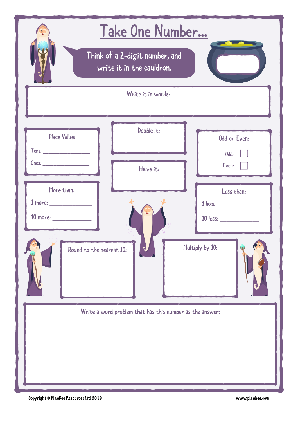|                                                             | Take One Number                                          |                               |  |  |
|-------------------------------------------------------------|----------------------------------------------------------|-------------------------------|--|--|
| Think of a 2-digit number, and<br>write it in the cauldron. |                                                          |                               |  |  |
|                                                             | Write it in words:                                       |                               |  |  |
| <b>Place Value:</b>                                         | Double it:                                               | Odd or Even:<br>Odd:<br>Even: |  |  |
| More than:<br>Round to the nearest 10:                      | Halve it:                                                | Less than:<br>Multiply by 10: |  |  |
|                                                             | Write a word problem that has this number as the answer: |                               |  |  |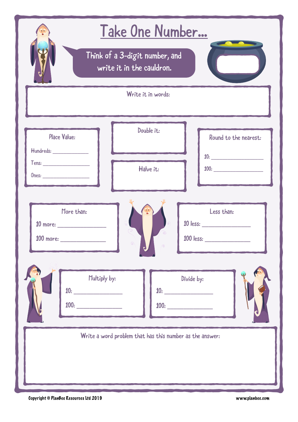| Take One Number                                                                                                                                            |                       |                                                           |  |  |
|------------------------------------------------------------------------------------------------------------------------------------------------------------|-----------------------|-----------------------------------------------------------|--|--|
| Think of a 3-digit number, and<br>write it in the cauldron.                                                                                                |                       |                                                           |  |  |
|                                                                                                                                                            | Write it in words:    |                                                           |  |  |
| Place Value:                                                                                                                                               | Double it:            | Round to the nearest:<br>$10: \underline{\hspace{2.5cm}}$ |  |  |
|                                                                                                                                                            | Halve it:             |                                                           |  |  |
| More than:<br>$100$ more:                                                                                                                                  | $\odot$<br>$\sqrt{6}$ | Less than:<br>10 less:<br>100 less:                       |  |  |
| Multiply by:<br>Divide by:<br>$10: \underline{\hspace{2.5cm}}$<br>$100: \underline{\hspace{2cm}}$<br>$100: \begin{tabular}{l} \textbf{100}: \end{tabular}$ |                       |                                                           |  |  |
| Write a word problem that has this number as the answer:                                                                                                   |                       |                                                           |  |  |